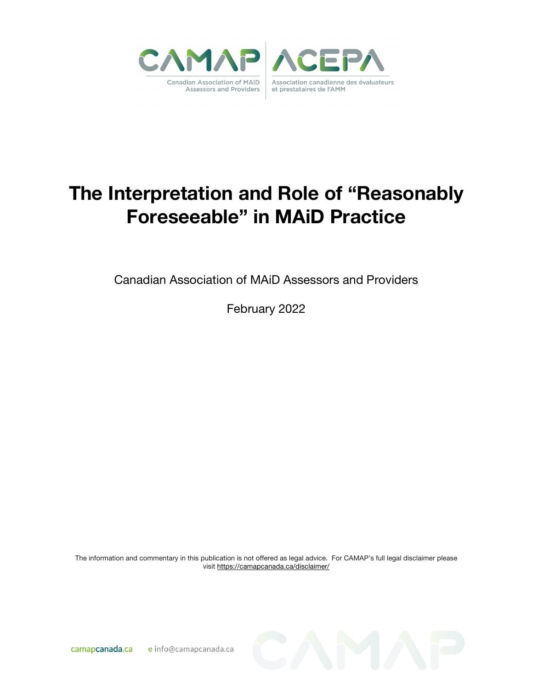

# **The Interpretation and Role of "Reasonably Foreseeable" in MAiD Practice**

Canadian Association of MAiD Assessors and Providers

February 2022

The information and commentary in this publication is not offered as legal advice. For CAMAP's full legal disclaimer please visit https://camapcanada.ca/disclaimer/

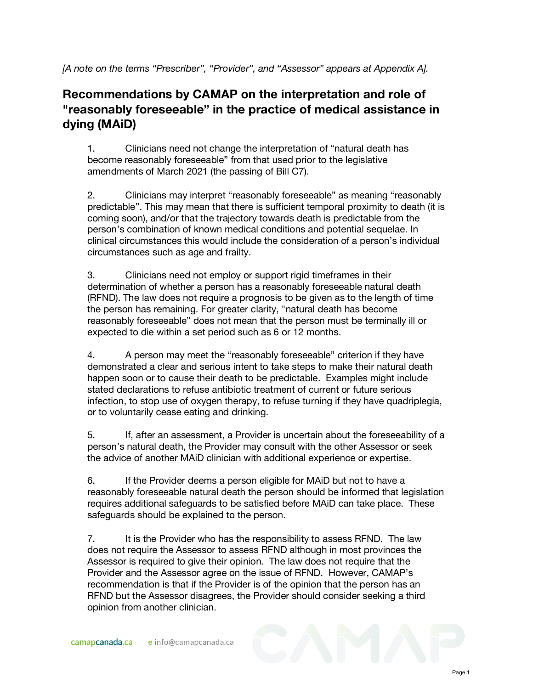*[A note on the terms "Prescriber", "Provider", and "Assessor" appears at Appendix A].*

## **Recommendations by CAMAP on the interpretation and role of "reasonably foreseeable" in the practice of medical assistance in dying (MAiD)**

1. Clinicians need not change the interpretation of "natural death has become reasonably foreseeable" from that used prior to the legislative amendments of March 2021 (the passing of Bill C7).

2. Clinicians may interpret "reasonably foreseeable" as meaning "reasonably predictable". This may mean that there is sufficient temporal proximity to death (it is coming soon), and/or that the trajectory towards death is predictable from the person's combination of known medical conditions and potential sequelae. In clinical circumstances this would include the consideration of a person's individual circumstances such as age and frailty.

3. Clinicians need not employ or support rigid timeframes in their determination of whether a person has a reasonably foreseeable natural death (RFND). The law does not require a prognosis to be given as to the length of time the person has remaining. For greater clarity, "natural death has become reasonably foreseeable" does not mean that the person must be terminally ill or expected to die within a set period such as 6 or 12 months.

4. A person may meet the "reasonably foreseeable" criterion if they have demonstrated a clear and serious intent to take steps to make their natural death happen soon or to cause their death to be predictable. Examples might include stated declarations to refuse antibiotic treatment of current or future serious infection, to stop use of oxygen therapy, to refuse turning if they have quadriplegia, or to voluntarily cease eating and drinking.

5. If, after an assessment, a Provider is uncertain about the foreseeability of a person's natural death, the Provider may consult with the other Assessor or seek the advice of another MAiD clinician with additional experience or expertise.

6. If the Provider deems a person eligible for MAiD but not to have a reasonably foreseeable natural death the person should be informed that legislation requires additional safeguards to be satisfied before MAiD can take place. These safeguards should be explained to the person.

7. It is the Provider who has the responsibility to assess RFND. The law does not require the Assessor to assess RFND although in most provinces the Assessor is required to give their opinion. The law does not require that the Provider and the Assessor agree on the issue of RFND. However, CAMAP's recommendation is that if the Provider is of the opinion that the person has an RFND but the Assessor disagrees, the Provider should consider seeking a third opinion from another clinician.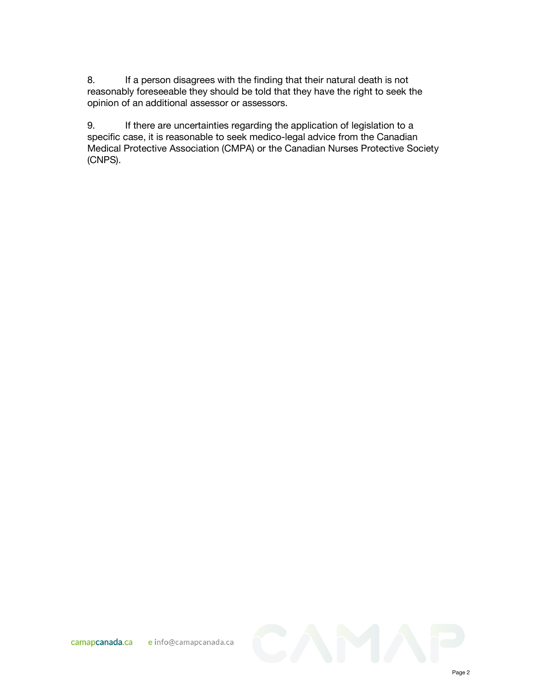8. If a person disagrees with the finding that their natural death is not reasonably foreseeable they should be told that they have the right to seek the opinion of an additional assessor or assessors.

9. If there are uncertainties regarding the application of legislation to a specific case, it is reasonable to seek medico-legal advice from the Canadian Medical Protective Association (CMPA) or the Canadian Nurses Protective Society (CNPS).

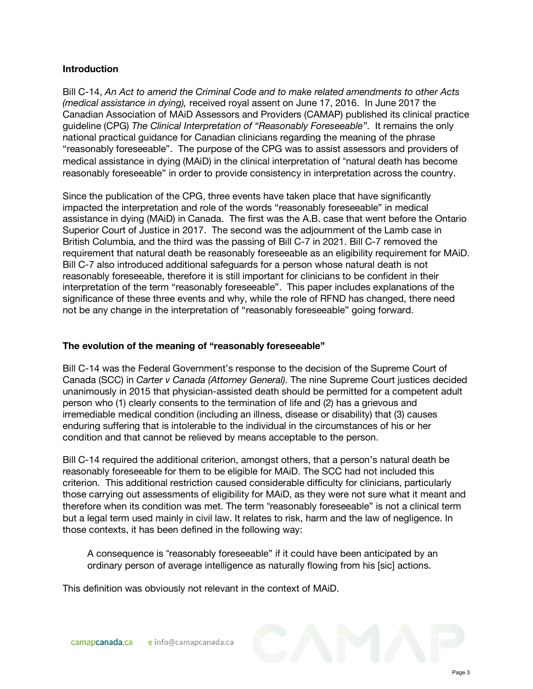#### **Introduction**

Bill C-14, *An Act to amend the Criminal Code and to make related amendments to other Acts (medical assistance in dying),* received royal assent on June 17, 2016. In June 2017 the Canadian Association of MAiD Assessors and Providers (CAMAP) published its clinical practice guideline (CPG) *The Clinical Interpretation of "Reasonably Foreseeable"*. It remains the only national practical guidance for Canadian clinicians regarding the meaning of the phrase "reasonably foreseeable". The purpose of the CPG was to assist assessors and providers of medical assistance in dying (MAiD) in the clinical interpretation of "natural death has become reasonably foreseeable" in order to provide consistency in interpretation across the country.

Since the publication of the CPG, three events have taken place that have significantly impacted the interpretation and role of the words "reasonably foreseeable" in medical assistance in dying (MAiD) in Canada. The first was the A.B. case that went before the Ontario Superior Court of Justice in 2017. The second was the adjournment of the Lamb case in British Columbia, and the third was the passing of Bill C-7 in 2021. Bill C-7 removed the requirement that natural death be reasonably foreseeable as an eligibility requirement for MAiD. Bill C-7 also introduced additional safeguards for a person whose natural death is not reasonably foreseeable, therefore it is still important for clinicians to be confident in their interpretation of the term "reasonably foreseeable". This paper includes explanations of the significance of these three events and why, while the role of RFND has changed, there need not be any change in the interpretation of "reasonably foreseeable" going forward.

#### **The evolution of the meaning of "reasonably foreseeable"**

Bill C-14 was the Federal Government's response to the decision of the Supreme Court of Canada (SCC) in *Carter v Canada (Attorney General)*. The nine Supreme Court justices decided unanimously in 2015 that physician-assisted death should be permitted for a competent adult person who (1) clearly consents to the termination of life and (2) has a grievous and irremediable medical condition (including an illness, disease or disability) that (3) causes enduring suffering that is intolerable to the individual in the circumstances of his or her condition and that cannot be relieved by means acceptable to the person.

Bill C-14 required the additional criterion, amongst others, that a person's natural death be reasonably foreseeable for them to be eligible for MAiD. The SCC had not included this criterion. This additional restriction caused considerable difficulty for clinicians, particularly those carrying out assessments of eligibility for MAiD, as they were not sure what it meant and therefore when its condition was met. The term "reasonably foreseeable" is not a clinical term but a legal term used mainly in civil law. It relates to risk, harm and the law of negligence. In those contexts, it has been defined in the following way:

A consequence is "reasonably foreseeable" if it could have been anticipated by an ordinary person of average intelligence as naturally flowing from his [sic] actions.

This definition was obviously not relevant in the context of MAiD.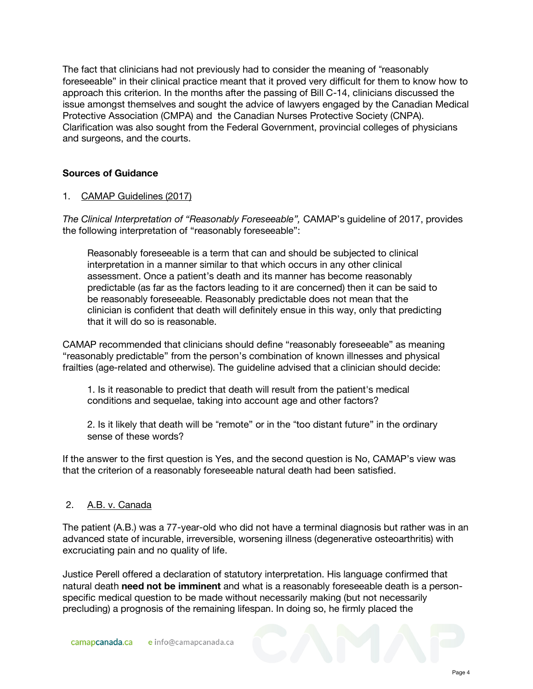The fact that clinicians had not previously had to consider the meaning of "reasonably foreseeable" in their clinical practice meant that it proved very difficult for them to know how to approach this criterion. In the months after the passing of Bill C-14, clinicians discussed the issue amongst themselves and sought the advice of lawyers engaged by the Canadian Medical Protective Association (CMPA) and the Canadian Nurses Protective Society (CNPA). Clarification was also sought from the Federal Government, provincial colleges of physicians and surgeons, and the courts.

#### **Sources of Guidance**

#### 1. CAMAP Guidelines (2017)

*The Clinical Interpretation of "Reasonably Foreseeable",* CAMAP's guideline of 2017, provides the following interpretation of "reasonably foreseeable":

Reasonably foreseeable is a term that can and should be subjected to clinical interpretation in a manner similar to that which occurs in any other clinical assessment. Once a patient's death and its manner has become reasonably predictable (as far as the factors leading to it are concerned) then it can be said to be reasonably foreseeable. Reasonably predictable does not mean that the clinician is confident that death will definitely ensue in this way, only that predicting that it will do so is reasonable.

CAMAP recommended that clinicians should define "reasonably foreseeable" as meaning "reasonably predictable" from the person's combination of known illnesses and physical frailties (age-related and otherwise). The guideline advised that a clinician should decide:

1. Is it reasonable to predict that death will result from the patient's medical conditions and sequelae, taking into account age and other factors?

2. Is it likely that death will be "remote" or in the "too distant future" in the ordinary sense of these words?

If the answer to the first question is Yes, and the second question is No, CAMAP's view was that the criterion of a reasonably foreseeable natural death had been satisfied.

#### 2. A.B. v. Canada

The patient (A.B.) was a 77-year-old who did not have a terminal diagnosis but rather was in an advanced state of incurable, irreversible, worsening illness (degenerative osteoarthritis) with excruciating pain and no quality of life.

Justice Perell offered a declaration of statutory interpretation. His language confirmed that natural death **need not be imminent** and what is a reasonably foreseeable death is a personspecific medical question to be made without necessarily making (but not necessarily precluding) a prognosis of the remaining lifespan. In doing so, he firmly placed the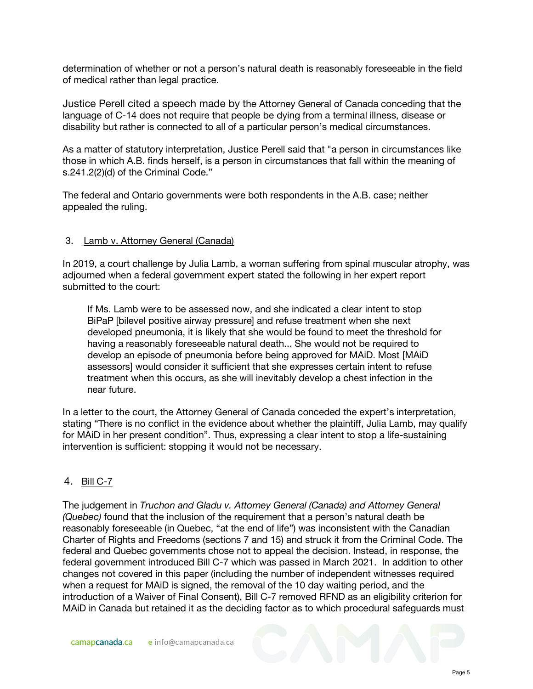determination of whether or not a person's natural death is reasonably foreseeable in the field of medical rather than legal practice.

Justice Perell cited a speech made by the Attorney General of Canada conceding that the language of C-14 does not require that people be dying from a terminal illness, disease or disability but rather is connected to all of a particular person's medical circumstances.

As a matter of statutory interpretation, Justice Perell said that "a person in circumstances like those in which A.B. finds herself, is a person in circumstances that fall within the meaning of s.241.2(2)(d) of the Criminal Code."

The federal and Ontario governments were both respondents in the A.B. case; neither appealed the ruling.

#### 3. Lamb v. Attorney General (Canada)

In 2019, a court challenge by Julia Lamb, a woman suffering from spinal muscular atrophy, was adjourned when a federal government expert stated the following in her expert report submitted to the court:

If Ms. Lamb were to be assessed now, and she indicated a clear intent to stop BiPaP [bilevel positive airway pressure] and refuse treatment when she next developed pneumonia, it is likely that she would be found to meet the threshold for having a reasonably foreseeable natural death... She would not be required to develop an episode of pneumonia before being approved for MAiD. Most [MAiD assessors] would consider it sufficient that she expresses certain intent to refuse treatment when this occurs, as she will inevitably develop a chest infection in the near future.

In a letter to the court, the Attorney General of Canada conceded the expert's interpretation, stating "There is no conflict in the evidence about whether the plaintiff, Julia Lamb, may qualify for MAiD in her present condition". Thus, expressing a clear intent to stop a life-sustaining intervention is sufficient: stopping it would not be necessary.

#### 4. Bill C-7

The judgement in *Truchon and Gladu v. Attorney General (Canada) and Attorney General (Quebec)* found that the inclusion of the requirement that a person's natural death be reasonably foreseeable (in Quebec, "at the end of life") was inconsistent with the Canadian Charter of Rights and Freedoms (sections 7 and 15) and struck it from the Criminal Code. The federal and Quebec governments chose not to appeal the decision. Instead, in response, the federal government introduced Bill C-7 which was passed in March 2021. In addition to other changes not covered in this paper (including the number of independent witnesses required when a request for MAiD is signed, the removal of the 10 day waiting period, and the introduction of a Waiver of Final Consent), Bill C-7 removed RFND as an eligibility criterion for MAiD in Canada but retained it as the deciding factor as to which procedural safeguards must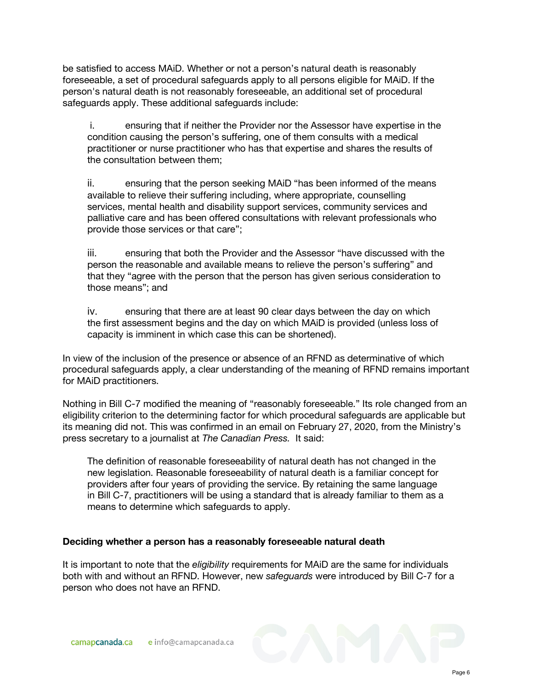be satisfied to access MAiD. Whether or not a person's natural death is reasonably foreseeable, a set of procedural safeguards apply to all persons eligible for MAiD. If the person's natural death is not reasonably foreseeable, an additional set of procedural safeguards apply. These additional safeguards include:

i. ensuring that if neither the Provider nor the Assessor have expertise in the condition causing the person's suffering, one of them consults with a medical practitioner or nurse practitioner who has that expertise and shares the results of the consultation between them;

ii. ensuring that the person seeking MAiD "has been informed of the means available to relieve their suffering including, where appropriate, counselling services, mental health and disability support services, community services and palliative care and has been offered consultations with relevant professionals who provide those services or that care";

iii. ensuring that both the Provider and the Assessor "have discussed with the person the reasonable and available means to relieve the person's suffering" and that they "agree with the person that the person has given serious consideration to those means"; and

iv. ensuring that there are at least 90 clear days between the day on which the first assessment begins and the day on which MAiD is provided (unless loss of capacity is imminent in which case this can be shortened).

In view of the inclusion of the presence or absence of an RFND as determinative of which procedural safeguards apply, a clear understanding of the meaning of RFND remains important for MAiD practitioners.

Nothing in Bill C-7 modified the meaning of "reasonably foreseeable." Its role changed from an eligibility criterion to the determining factor for which procedural safeguards are applicable but its meaning did not. This was confirmed in an email on February 27, 2020, from the Ministry's press secretary to a journalist at *The Canadian Press.* It said:

The definition of reasonable foreseeability of natural death has not changed in the new legislation. Reasonable foreseeability of natural death is a familiar concept for providers after four years of providing the service. By retaining the same language in Bill C-7, practitioners will be using a standard that is already familiar to them as a means to determine which safeguards to apply.

#### **Deciding whether a person has a reasonably foreseeable natural death**

It is important to note that the *eligibility* requirements for MAiD are the same for individuals both with and without an RFND. However, new *safeguards* were introduced by Bill C-7 for a person who does not have an RFND.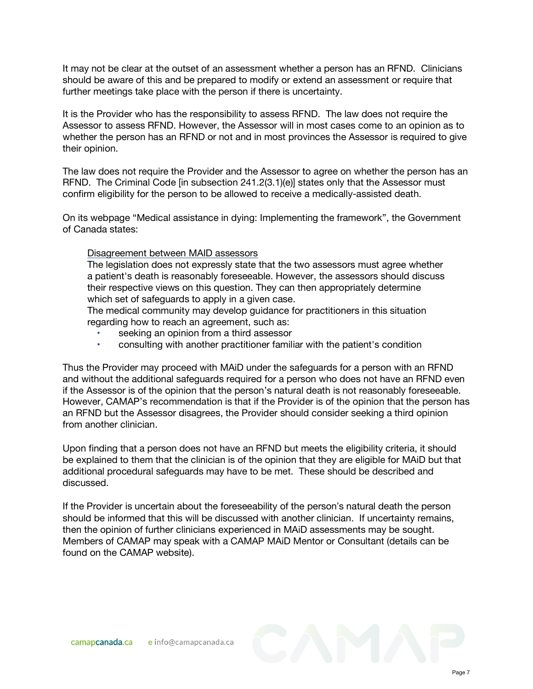It may not be clear at the outset of an assessment whether a person has an RFND. Clinicians should be aware of this and be prepared to modify or extend an assessment or require that further meetings take place with the person if there is uncertainty.

It is the Provider who has the responsibility to assess RFND. The law does not require the Assessor to assess RFND. However, the Assessor will in most cases come to an opinion as to whether the person has an RFND or not and in most provinces the Assessor is required to give their opinion.

The law does not require the Provider and the Assessor to agree on whether the person has an RFND. The Criminal Code [in subsection 241.2(3.1)(e)] states only that the Assessor must confirm eligibility for the person to be allowed to receive a medically-assisted death.

On its webpage "Medical assistance in dying: Implementing the framework", the Government of Canada states:

#### Disagreement between MAID assessors

The legislation does not expressly state that the two assessors must agree whether a patient's death is reasonably foreseeable. However, the assessors should discuss their respective views on this question. They can then appropriately determine which set of safeguards to apply in a given case.

The medical community may develop guidance for practitioners in this situation regarding how to reach an agreement, such as:

- seeking an opinion from a third assessor
- consulting with another practitioner familiar with the patient's condition

Thus the Provider may proceed with MAiD under the safeguards for a person with an RFND and without the additional safeguards required for a person who does not have an RFND even if the Assessor is of the opinion that the person's natural death is not reasonably foreseeable. However, CAMAP's recommendation is that if the Provider is of the opinion that the person has an RFND but the Assessor disagrees, the Provider should consider seeking a third opinion from another clinician.

Upon finding that a person does not have an RFND but meets the eligibility criteria, it should be explained to them that the clinician is of the opinion that they are eligible for MAiD but that additional procedural safeguards may have to be met. These should be described and discussed.

If the Provider is uncertain about the foreseeability of the person's natural death the person should be informed that this will be discussed with another clinician. If uncertainty remains, then the opinion of further clinicians experienced in MAiD assessments may be sought. Members of CAMAP may speak with a CAMAP MAiD Mentor or Consultant (details can be found on the CAMAP website).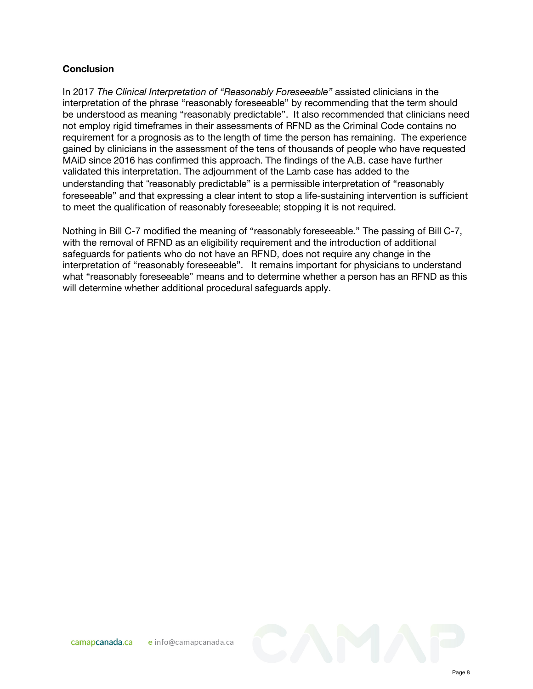#### **Conclusion**

In 2017 *The Clinical Interpretation of "Reasonably Foreseeable"* assisted clinicians in the interpretation of the phrase "reasonably foreseeable" by recommending that the term should be understood as meaning "reasonably predictable". It also recommended that clinicians need not employ rigid timeframes in their assessments of RFND as the Criminal Code contains no requirement for a prognosis as to the length of time the person has remaining. The experience gained by clinicians in the assessment of the tens of thousands of people who have requested MAiD since 2016 has confirmed this approach. The findings of the A.B. case have further validated this interpretation. The adjournment of the Lamb case has added to the understanding that "reasonably predictable" is a permissible interpretation of "reasonably foreseeable" and that expressing a clear intent to stop a life-sustaining intervention is sufficient to meet the qualification of reasonably foreseeable; stopping it is not required.

Nothing in Bill C-7 modified the meaning of "reasonably foreseeable." The passing of Bill C-7, with the removal of RFND as an eligibility requirement and the introduction of additional safeguards for patients who do not have an RFND, does not require any change in the interpretation of "reasonably foreseeable". It remains important for physicians to understand what "reasonably foreseeable" means and to determine whether a person has an RFND as this will determine whether additional procedural safeguards apply.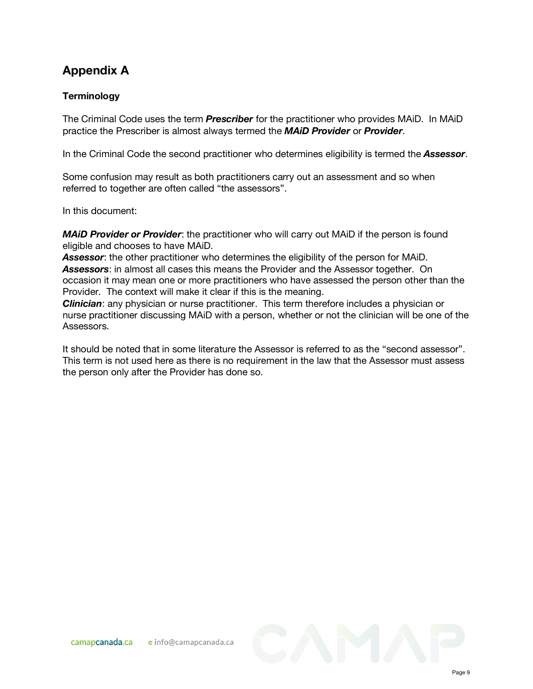## **Appendix A**

#### **Terminology**

The Criminal Code uses the term *Prescriber* for the practitioner who provides MAiD. In MAiD practice the Prescriber is almost always termed the **MAID Provider** or **Provider**.

In the Criminal Code the second practitioner who determines eligibility is termed the *Assessor*.

Some confusion may result as both practitioners carry out an assessment and so when referred to together are often called "the assessors".

In this document:

*MAiD Provider or Provider*: the practitioner who will carry out MAiD if the person is found eligible and chooses to have MAiD.

*Assessor*: the other practitioner who determines the eligibility of the person for MAiD. *Assessors*: in almost all cases this means the Provider and the Assessor together. On occasion it may mean one or more practitioners who have assessed the person other than the Provider. The context will make it clear if this is the meaning.

*Clinician*: any physician or nurse practitioner. This term therefore includes a physician or nurse practitioner discussing MAiD with a person, whether or not the clinician will be one of the Assessors.

It should be noted that in some literature the Assessor is referred to as the "second assessor". This term is not used here as there is no requirement in the law that the Assessor must assess the person only after the Provider has done so.